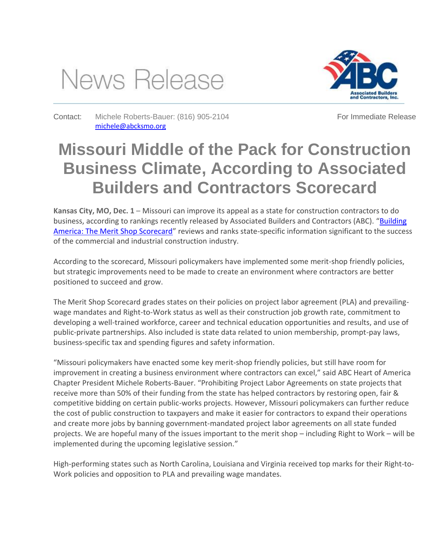



Contact: Michele Roberts-Bauer: (816) 905-2104 [michele@abcksmo.org](mailto:michele@abcksmo.org)

For Immediate Release

## **Missouri Middle of the Pack for Construction Business Climate, According to Associated Builders and Contractors Scorecard**

**Kansas City, MO, Dec. 1** – Missouri can improve its appeal as a state for construction contractors to do business, according to rankings recently released by Associated Builders and Contractors (ABC). "[Building](http://meritshopscorecard.org/)  [America: The Merit Shop Scorecard](http://meritshopscorecard.org/)" reviews and ranks state-specific information significant to the success of the commercial and industrial construction industry.

According to the scorecard, Missouri policymakers have implemented some merit-shop friendly policies, but strategic improvements need to be made to create an environment where contractors are better positioned to succeed and grow.

The Merit Shop Scorecard grades states on their policies on project labor agreement (PLA) and prevailingwage mandates and Right-to-Work status as well as their construction job growth rate, commitment to developing a well-trained workforce, career and technical education opportunities and results, and use of public-private partnerships. Also included is state data related to union membership, prompt-pay laws, business-specific tax and spending figures and safety information.

"Missouri policymakers have enacted some key merit-shop friendly policies, but still have room for improvement in creating a business environment where contractors can excel," said ABC Heart of America Chapter President Michele Roberts-Bauer. "Prohibiting Project Labor Agreements on state projects that receive more than 50% of their funding from the state has helped contractors by restoring open, fair & competitive bidding on certain public-works projects. However, Missouri policymakers can further reduce the cost of public construction to taxpayers and make it easier for contractors to expand their operations and create more jobs by banning government-mandated project labor agreements on all state funded projects. We are hopeful many of the issues important to the merit shop – including Right to Work – will be implemented during the upcoming legislative session."

High-performing states such as North Carolina, Louisiana and Virginia received top marks for their Right-to-Work policies and opposition to PLA and prevailing wage mandates.